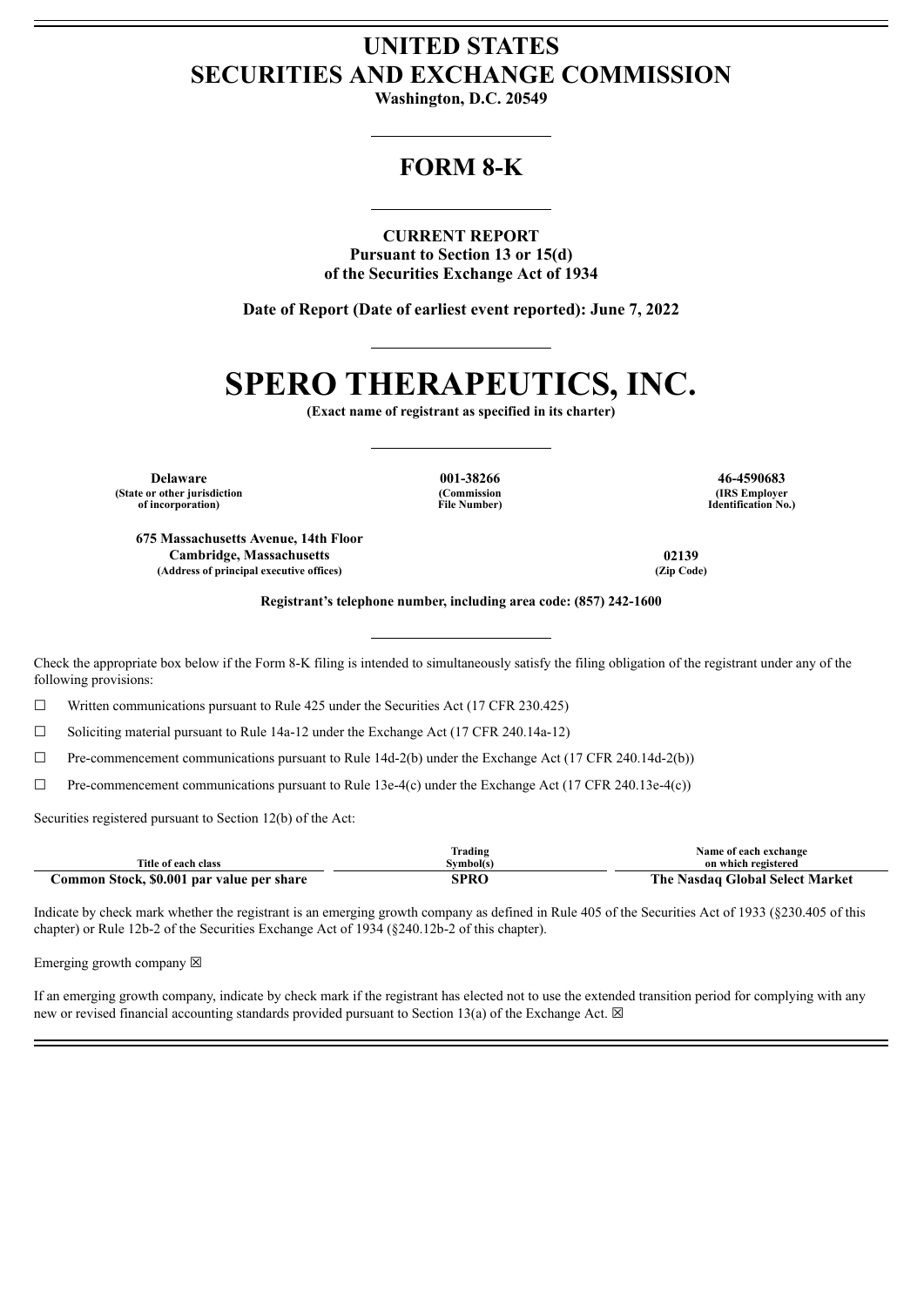# **UNITED STATES SECURITIES AND EXCHANGE COMMISSION**

**Washington, D.C. 20549**

# **FORM 8-K**

**CURRENT REPORT Pursuant to Section 13 or 15(d) of the Securities Exchange Act of 1934**

**Date of Report (Date of earliest event reported): June 7, 2022**

# **SPERO THERAPEUTICS, INC.**

**(Exact name of registrant as specified in its charter)**

**Delaware 001-38266 46-4590683 (State or other jurisdiction of incorporation)**

**(Commission File Number)**

**(IRS Employer Identification No.)**

**675 Massachusetts Avenue, 14th Floor Cambridge, Massachusetts 02139**  $(A$ ddress of principal executive offices)

**Registrant's telephone number, including area code: (857) 242-1600**

Check the appropriate box below if the Form 8-K filing is intended to simultaneously satisfy the filing obligation of the registrant under any of the following provisions:

 $\Box$  Written communications pursuant to Rule 425 under the Securities Act (17 CFR 230.425)

 $\Box$  Soliciting material pursuant to Rule 14a-12 under the Exchange Act (17 CFR 240.14a-12)

 $\Box$  Pre-commencement communications pursuant to Rule 14d-2(b) under the Exchange Act (17 CFR 240.14d-2(b))

 $\Box$  Pre-commencement communications pursuant to Rule 13e-4(c) under the Exchange Act (17 CFR 240.13e-4(c))

Securities registered pursuant to Section 12(b) of the Act:

|                                           | $\sim$<br>Frading | Name of each exchange                       |
|-------------------------------------------|-------------------|---------------------------------------------|
| Title of each class                       | Svmbol(s)         | on which registered                         |
| Common Stock, \$0.001 par value per share | SPRC              | The .<br><b>Nasdaq Global Select Market</b> |

Indicate by check mark whether the registrant is an emerging growth company as defined in Rule 405 of the Securities Act of 1933 (§230.405 of this chapter) or Rule 12b-2 of the Securities Exchange Act of 1934 (§240.12b-2 of this chapter).

Emerging growth company  $\boxtimes$ 

If an emerging growth company, indicate by check mark if the registrant has elected not to use the extended transition period for complying with any new or revised financial accounting standards provided pursuant to Section 13(a) of the Exchange Act.  $\boxtimes$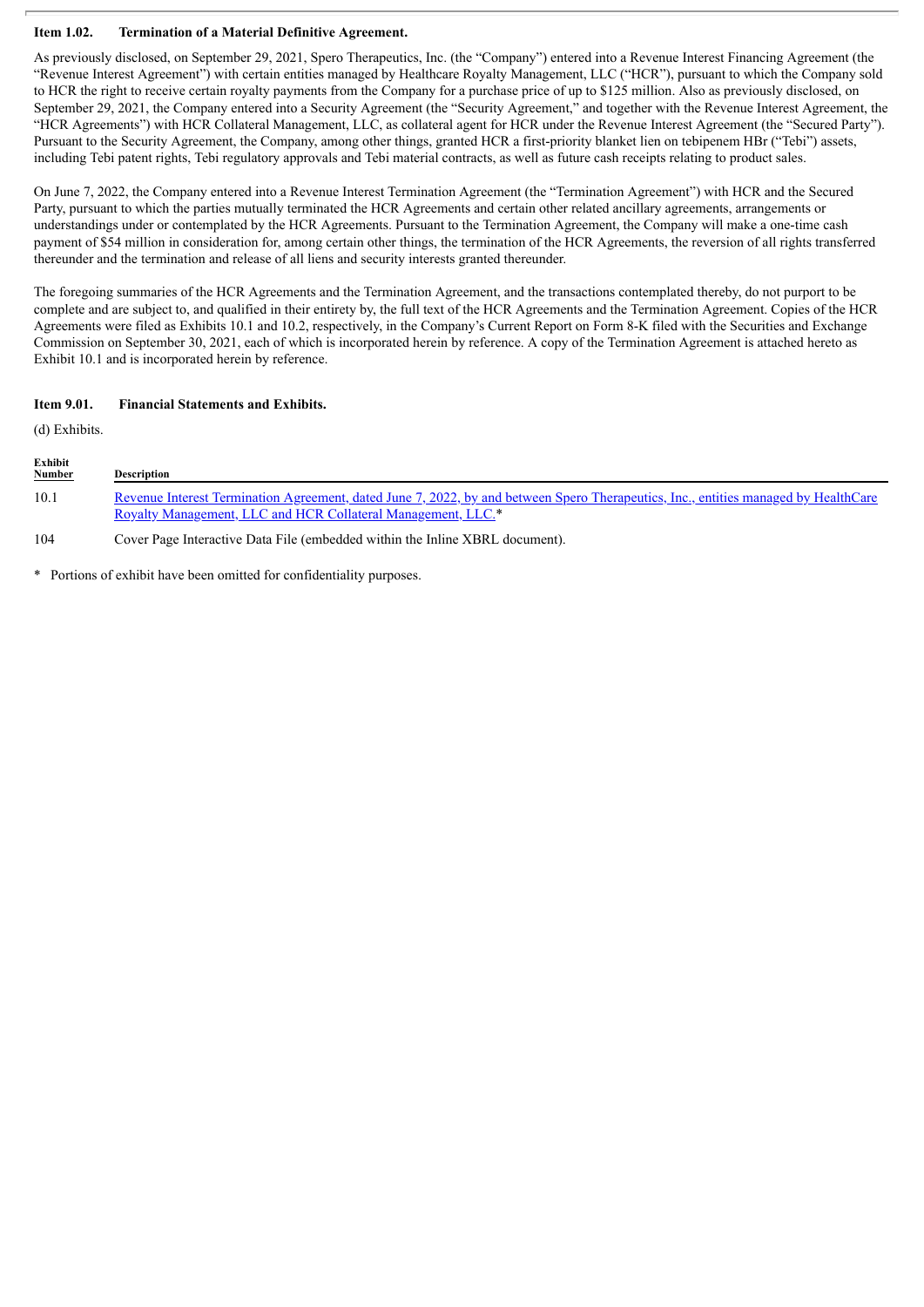## **Item 1.02. Termination of a Material Definitive Agreement.**

As previously disclosed, on September 29, 2021, Spero Therapeutics, Inc. (the "Company") entered into a Revenue Interest Financing Agreement (the "Revenue Interest Agreement") with certain entities managed by Healthcare Royalty Management, LLC ("HCR"), pursuant to which the Company sold to HCR the right to receive certain royalty payments from the Company for a purchase price of up to \$125 million. Also as previously disclosed, on September 29, 2021, the Company entered into a Security Agreement (the "Security Agreement," and together with the Revenue Interest Agreement, the "HCR Agreements") with HCR Collateral Management, LLC, as collateral agent for HCR under the Revenue Interest Agreement (the "Secured Party"). Pursuant to the Security Agreement, the Company, among other things, granted HCR a first-priority blanket lien on tebipenem HBr ("Tebi") assets, including Tebi patent rights, Tebi regulatory approvals and Tebi material contracts, as well as future cash receipts relating to product sales.

On June 7, 2022, the Company entered into a Revenue Interest Termination Agreement (the "Termination Agreement") with HCR and the Secured Party, pursuant to which the parties mutually terminated the HCR Agreements and certain other related ancillary agreements, arrangements or understandings under or contemplated by the HCR Agreements. Pursuant to the Termination Agreement, the Company will make a one-time cash payment of \$54 million in consideration for, among certain other things, the termination of the HCR Agreements, the reversion of all rights transferred thereunder and the termination and release of all liens and security interests granted thereunder.

The foregoing summaries of the HCR Agreements and the Termination Agreement, and the transactions contemplated thereby, do not purport to be complete and are subject to, and qualified in their entirety by, the full text of the HCR Agreements and the Termination Agreement. Copies of the HCR Agreements were filed as Exhibits 10.1 and 10.2, respectively, in the Company's Current Report on Form 8-K filed with the Securities and Exchange Commission on September 30, 2021, each of which is incorporated herein by reference. A copy of the Termination Agreement is attached hereto as Exhibit 10.1 and is incorporated herein by reference.

## **Item 9.01. Financial Statements and Exhibits.**

(d) Exhibits.

| Exhibit<br><b>Number</b> | <b>Description</b>                                                                                                                           |
|--------------------------|----------------------------------------------------------------------------------------------------------------------------------------------|
| 10.1                     | Revenue Interest Termination Agreement, dated June 7, 2022, by and between Spero Therapeutics, Inc., entities managed by HealthCare          |
| $1 \cap A$               | Royalty Management, LLC and HCR Collateral Management, LLC.*<br>Cours Daga Interactive Deta Eila (embodded within the Inline VDDI, degument) |

104 Cover Page Interactive Data File (embedded within the Inline XBRL document).

\* Portions of exhibit have been omitted for confidentiality purposes.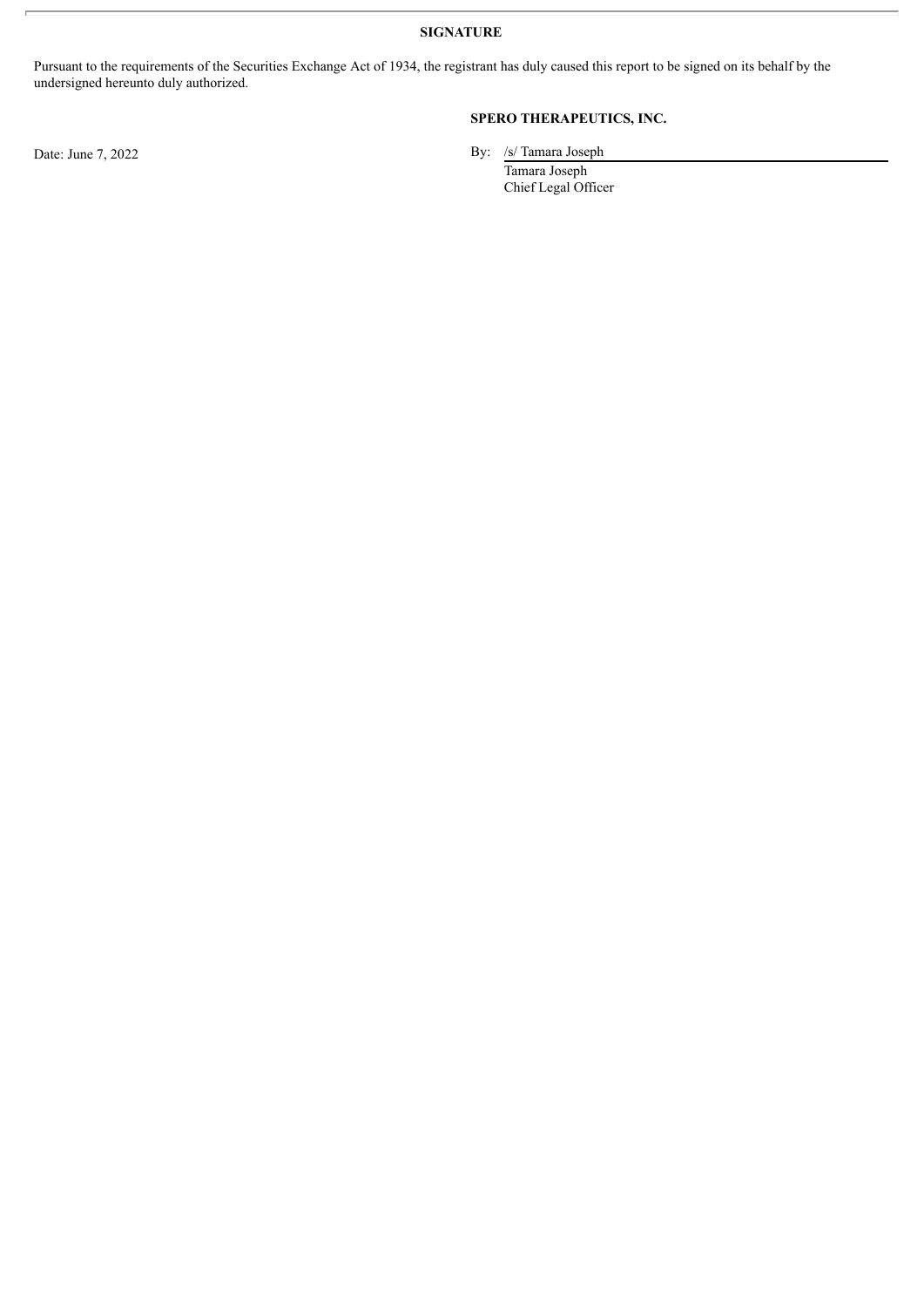**SIGNATURE**

Pursuant to the requirements of the Securities Exchange Act of 1934, the registrant has duly caused this report to be signed on its behalf by the undersigned hereunto duly authorized.

# **SPERO THERAPEUTICS, INC.**

Date: June 7, 2022 By: /s/ Tamara Joseph

Tamara Joseph Chief Legal Officer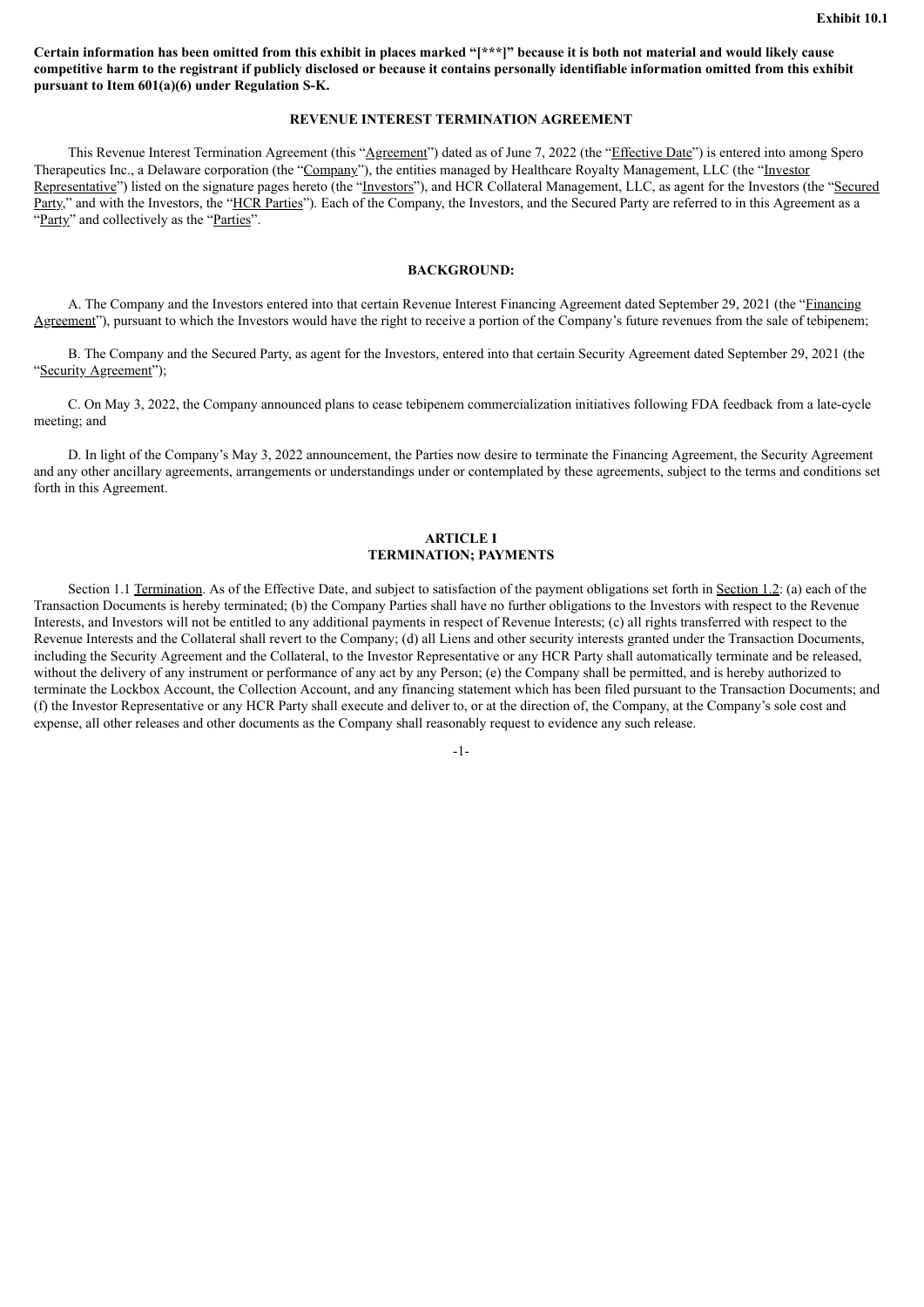<span id="page-3-0"></span>Certain information has been omitted from this exhibit in places marked "[\*\*\*]" because it is both not material and would likely cause competitive harm to the registrant if publicly disclosed or because it contains personally identifiable information omitted from this exhibit **pursuant to Item 601(a)(6) under Regulation S-K.**

#### **REVENUE INTEREST TERMINATION AGREEMENT**

This Revenue Interest Termination Agreement (this "Agreement") dated as of June 7, 2022 (the "Effective Date") is entered into among Spero Therapeutics Inc., a Delaware corporation (the "Company"), the entities managed by Healthcare Royalty Management, LLC (the "Investor Representative") listed on the signature pages hereto (the "Investors"), and HCR Collateral Management, LLC, as agent for the Investors (the "Secured Party," and with the Investors, the "HCR Parties"). Each of the Company, the Investors, and the Secured Party are referred to in this Agreement as a "Party" and collectively as the "Parties".

#### **BACKGROUND:**

A. The Company and the Investors entered into that certain Revenue Interest Financing Agreement dated September 29, 2021 (the "Financing Agreement"), pursuant to which the Investors would have the right to receive a portion of the Company's future revenues from the sale of tebipenem;

B. The Company and the Secured Party, as agent for the Investors, entered into that certain Security Agreement dated September 29, 2021 (the "Security Agreement");

C. On May 3, 2022, the Company announced plans to cease tebipenem commercialization initiatives following FDA feedback from a late-cycle meeting; and

D. In light of the Company's May 3, 2022 announcement, the Parties now desire to terminate the Financing Agreement, the Security Agreement and any other ancillary agreements, arrangements or understandings under or contemplated by these agreements, subject to the terms and conditions set forth in this Agreement.

#### **ARTICLE I TERMINATION; PAYMENTS**

Section 1.1 Termination. As of the Effective Date, and subject to satisfaction of the payment obligations set forth in Section 1.2: (a) each of the Transaction Documents is hereby terminated; (b) the Company Parties shall have no further obligations to the Investors with respect to the Revenue Interests, and Investors will not be entitled to any additional payments in respect of Revenue Interests; (c) all rights transferred with respect to the Revenue Interests and the Collateral shall revert to the Company; (d) all Liens and other security interests granted under the Transaction Documents, including the Security Agreement and the Collateral, to the Investor Representative or any HCR Party shall automatically terminate and be released, without the delivery of any instrument or performance of any act by any Person; (e) the Company shall be permitted, and is hereby authorized to terminate the Lockbox Account, the Collection Account, and any financing statement which has been filed pursuant to the Transaction Documents; and (f) the Investor Representative or any HCR Party shall execute and deliver to, or at the direction of, the Company, at the Company's sole cost and expense, all other releases and other documents as the Company shall reasonably request to evidence any such release.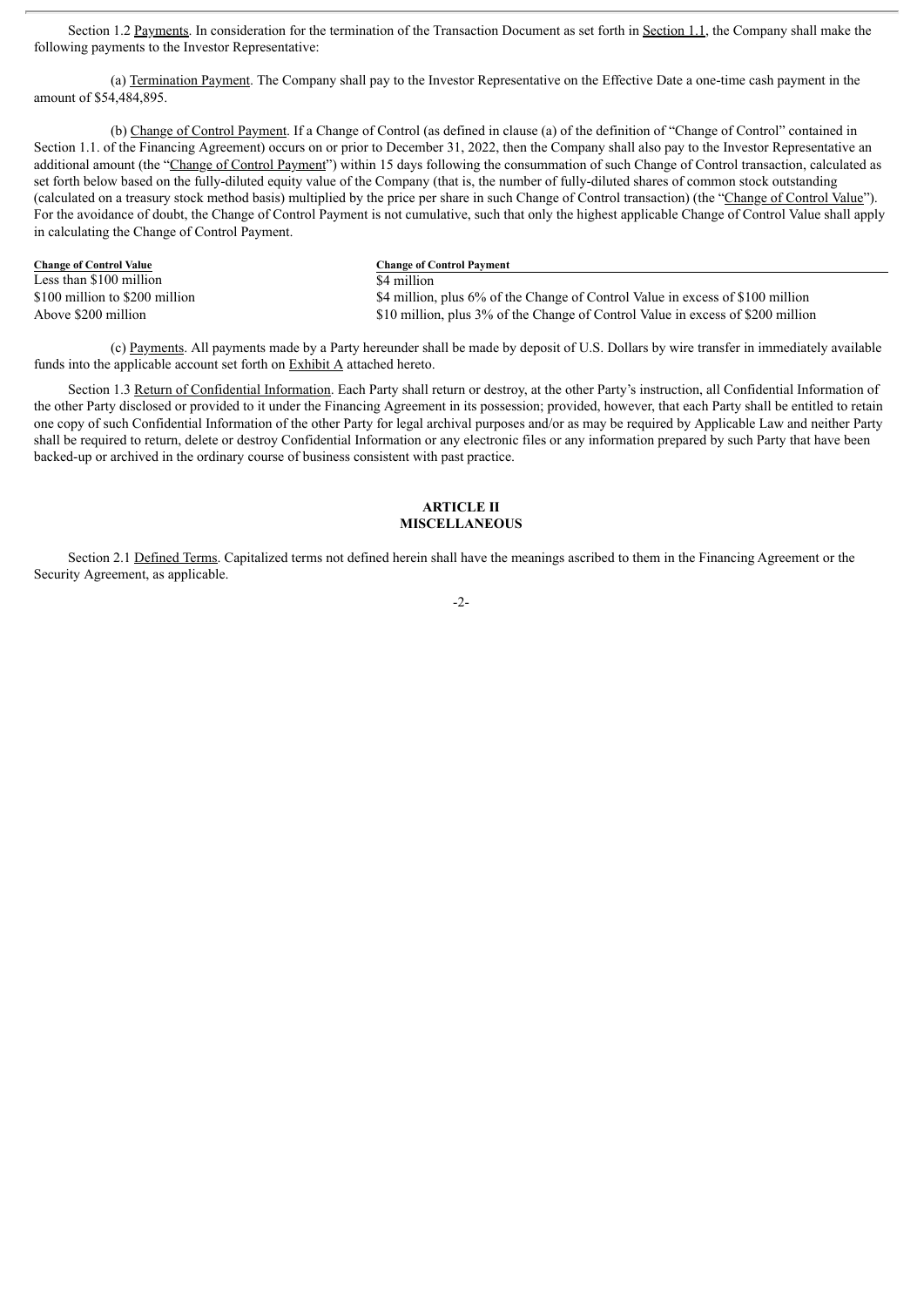Section 1.2 Payments. In consideration for the termination of the Transaction Document as set forth in Section 1.1, the Company shall make the following payments to the Investor Representative:

(a) Termination Payment. The Company shall pay to the Investor Representative on the Effective Date a one-time cash payment in the amount of \$54,484,895.

(b) Change of Control Payment. If a Change of Control (as defined in clause (a) of the definition of "Change of Control" contained in Section 1.1. of the Financing Agreement) occurs on or prior to December 31, 2022, then the Company shall also pay to the Investor Representative an additional amount (the "Change of Control Payment") within 15 days following the consummation of such Change of Control transaction, calculated as set forth below based on the fully-diluted equity value of the Company (that is, the number of fully-diluted shares of common stock outstanding (calculated on a treasury stock method basis) multiplied by the price per share in such Change of Control transaction) (the "Change of Control Value"). For the avoidance of doubt, the Change of Control Payment is not cumulative, such that only the highest applicable Change of Control Value shall apply in calculating the Change of Control Payment.

**Change of Control Value Change of Control Payment**  $\frac{1}{84}$  million  $\frac{1}{84}$  million

\$100 million to \$200 million \$200 million \$4 million, plus 6% of the Change of Control Value in excess of \$100 million.<br>\$10 million, plus 3% of the Change of Control Value in excess of \$200 million. \$10 million, plus 3% of the Change of Control Value in excess of \$200 million

(c) Payments. All payments made by a Party hereunder shall be made by deposit of U.S. Dollars by wire transfer in immediately available funds into the applicable account set forth on Exhibit A attached hereto.

Section 1.3 Return of Confidential Information. Each Party shall return or destroy, at the other Party's instruction, all Confidential Information of the other Party disclosed or provided to it under the Financing Agreement in its possession; provided, however, that each Party shall be entitled to retain one copy of such Confidential Information of the other Party for legal archival purposes and/or as may be required by Applicable Law and neither Party shall be required to return, delete or destroy Confidential Information or any electronic files or any information prepared by such Party that have been backed-up or archived in the ordinary course of business consistent with past practice.

## **ARTICLE II MISCELLANEOUS**

Section 2.1 Defined Terms. Capitalized terms not defined herein shall have the meanings ascribed to them in the Financing Agreement or the Security Agreement, as applicable.

-2-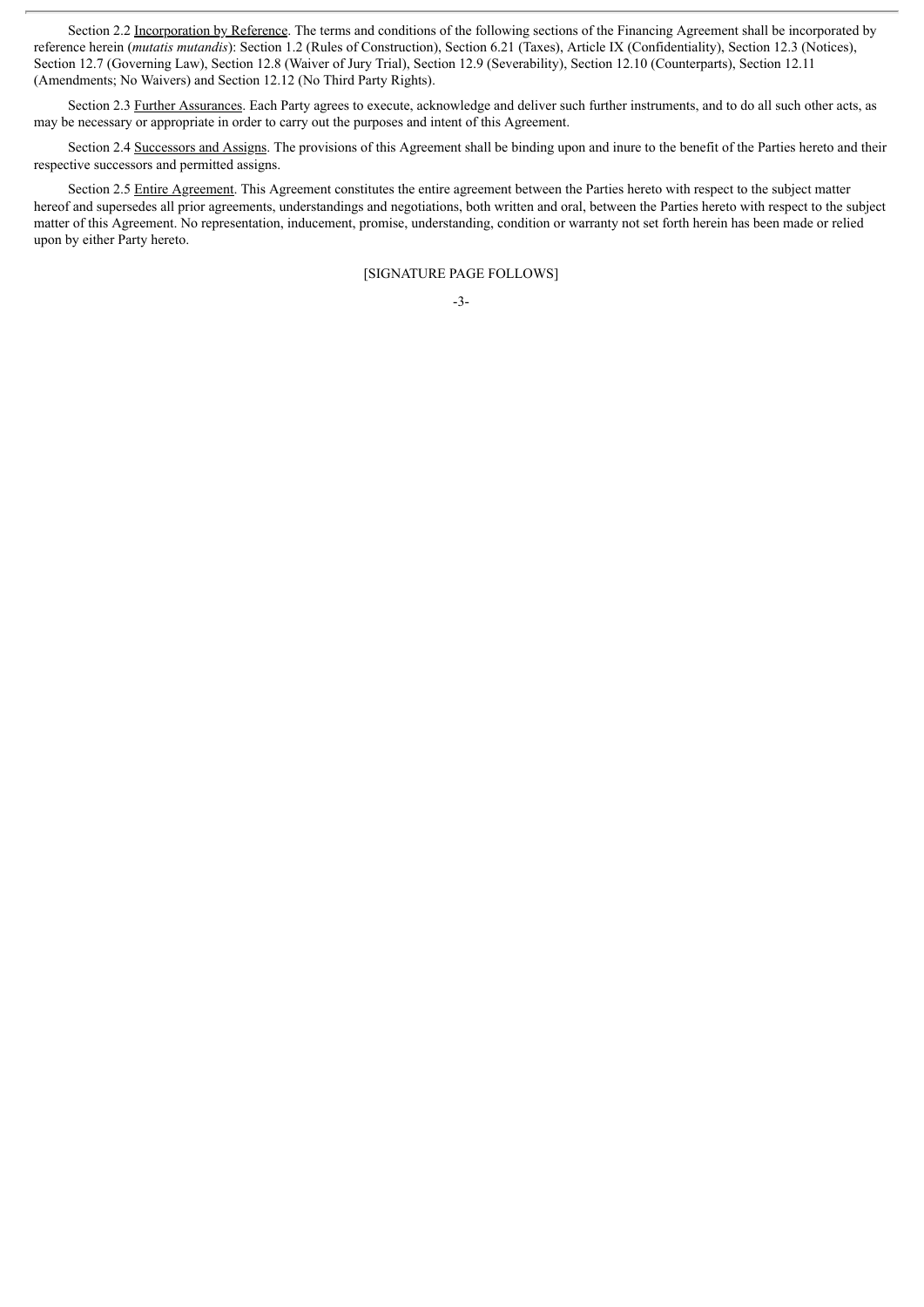Section 2.2 Incorporation by Reference. The terms and conditions of the following sections of the Financing Agreement shall be incorporated by reference herein (*mutatis mutandis*): Section 1.2 (Rules of Construction), Section 6.21 (Taxes), Article IX (Confidentiality), Section 12.3 (Notices), Section 12.7 (Governing Law), Section 12.8 (Waiver of Jury Trial), Section 12.9 (Severability), Section 12.10 (Counterparts), Section 12.11 (Amendments; No Waivers) and Section 12.12 (No Third Party Rights).

Section 2.3 Further Assurances. Each Party agrees to execute, acknowledge and deliver such further instruments, and to do all such other acts, as may be necessary or appropriate in order to carry out the purposes and intent of this Agreement.

Section 2.4 Successors and Assigns. The provisions of this Agreement shall be binding upon and inure to the benefit of the Parties hereto and their respective successors and permitted assigns.

Section 2.5 Entire Agreement. This Agreement constitutes the entire agreement between the Parties hereto with respect to the subject matter hereof and supersedes all prior agreements, understandings and negotiations, both written and oral, between the Parties hereto with respect to the subject matter of this Agreement. No representation, inducement, promise, understanding, condition or warranty not set forth herein has been made or relied upon by either Party hereto.

[SIGNATURE PAGE FOLLOWS]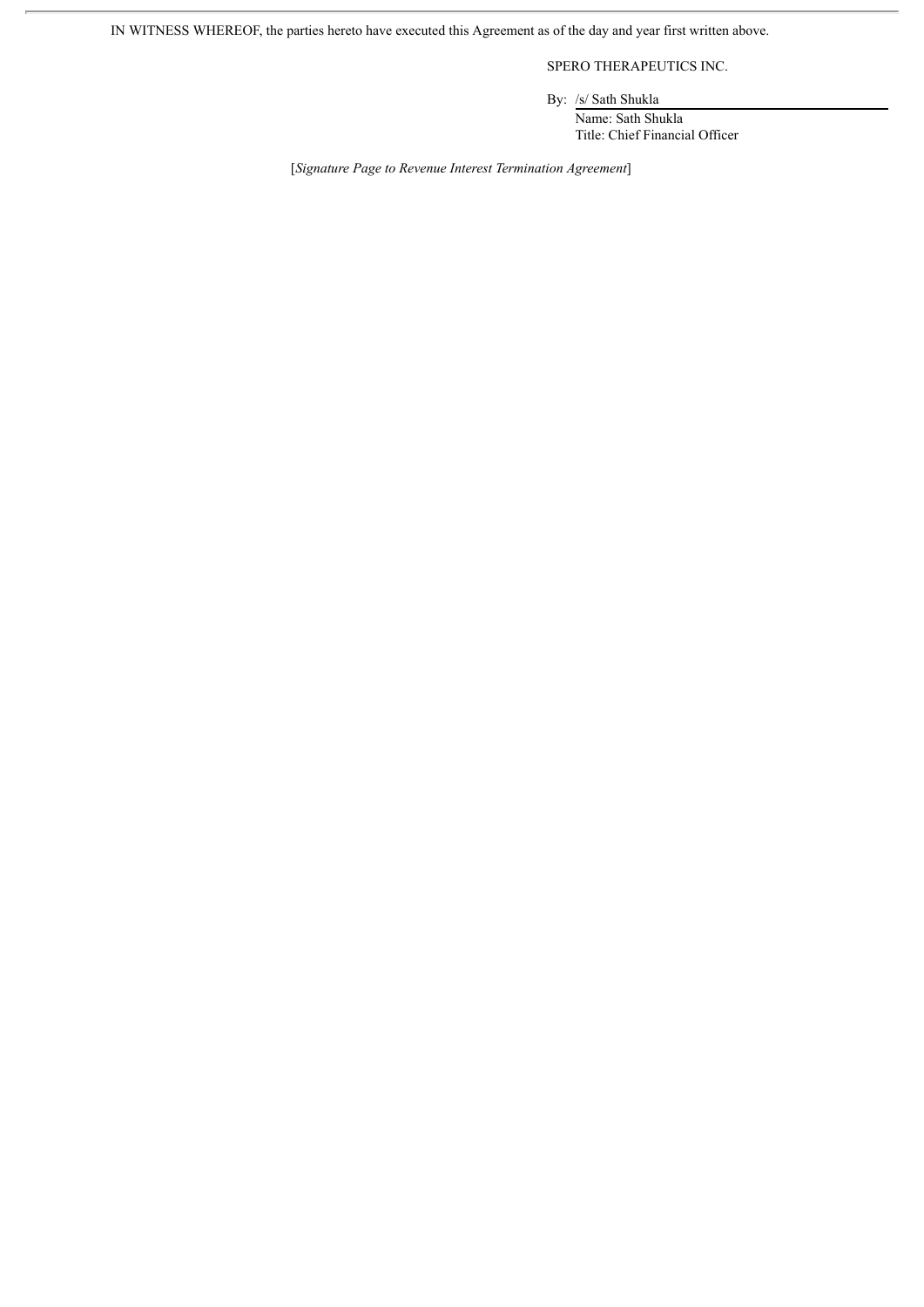IN WITNESS WHEREOF, the parties hereto have executed this Agreement as of the day and year first written above.

SPERO THERAPEUTICS INC.

By: /s/ Sath Shukla

Name: Sath Shukla Title: Chief Financial Officer

[*Signature Page to Revenue Interest Termination Agreement*]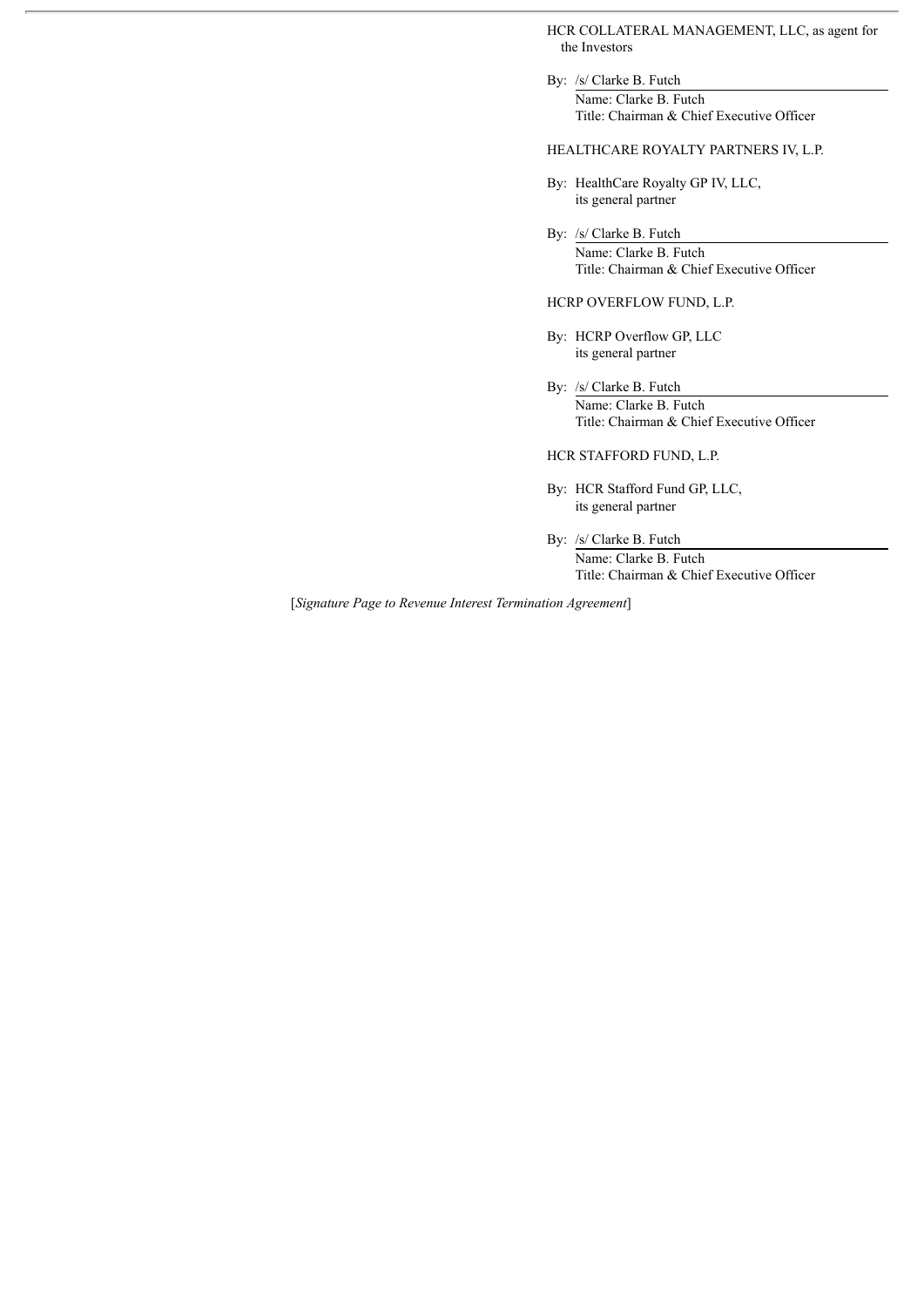HCR COLLATERAL MANAGEMENT, LLC, as agent for the Investors

By: /s/ Clarke B. Futch Name: Clarke B. Futch Title: Chairman & Chief Executive Officer

# HEALTHCARE ROYALTY PARTNERS IV, L.P.

- By: HealthCare Royalty GP IV, LLC, its general partner
- By: /s/ Clarke B. Futch Name: Clarke B. Futch Title: Chairman & Chief Executive Officer

HCRP OVERFLOW FUND, L.P.

- By: HCRP Overflow GP, LLC its general partner
- By: /s/ Clarke B. Futch Name: Clarke B. Futch Title: Chairman & Chief Executive Officer

HCR STAFFORD FUND, L.P.

- By: HCR Stafford Fund GP, LLC, its general partner
- By: /s/ Clarke B. Futch Name: Clarke B. Futch Title: Chairman & Chief Executive Officer

[*Signature Page to Revenue Interest Termination Agreement*]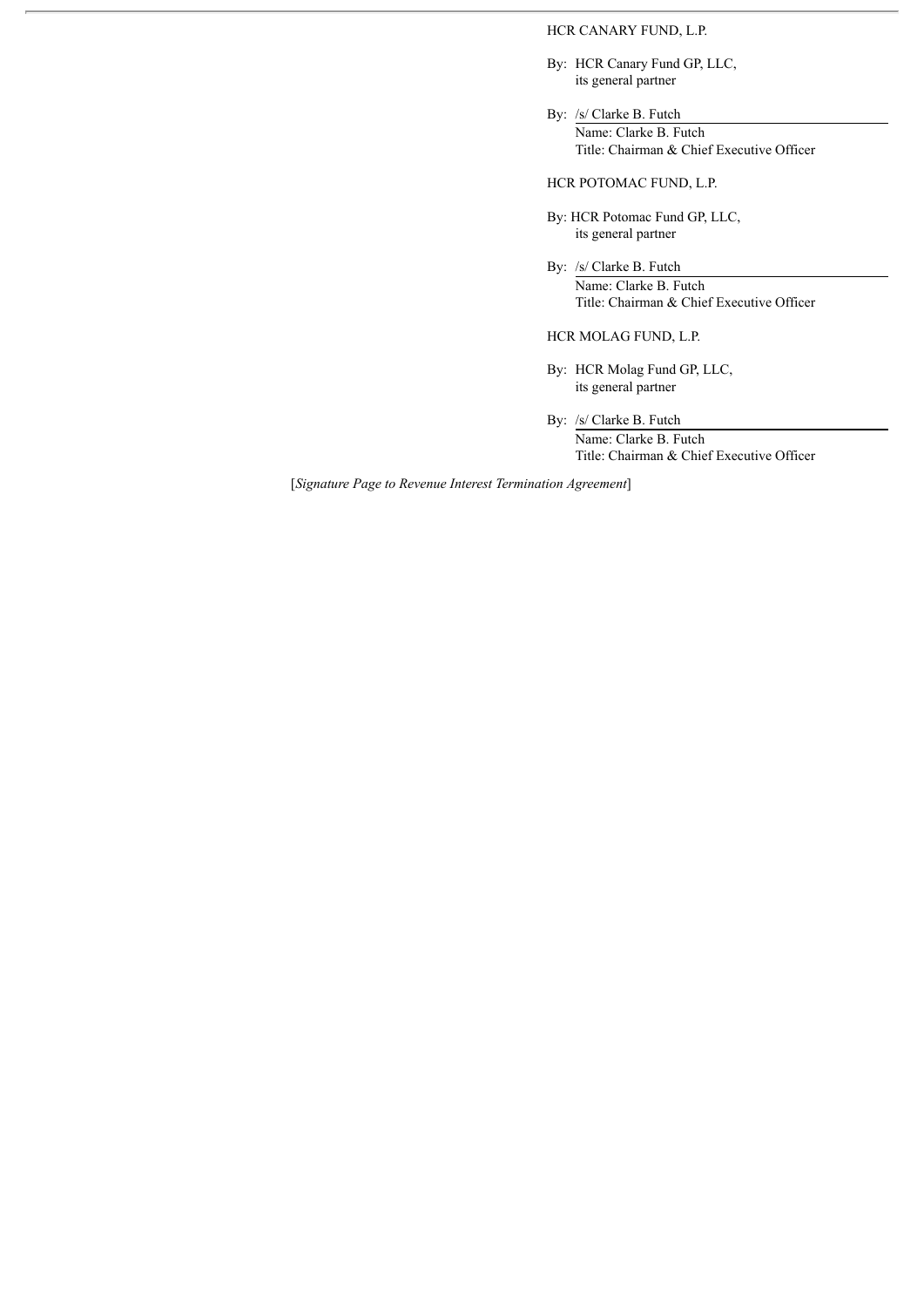HCR CANARY FUND, L.P.

- By: HCR Canary Fund GP, LLC, its general partner
- By: /s/ Clarke B. Futch Name: Clarke B. Futch Title: Chairman & Chief Executive Officer

HCR POTOMAC FUND, L.P.

- By: HCR Potomac Fund GP, LLC, its general partner
- By: /s/ Clarke B. Futch Name: Clarke B. Futch Title: Chairman & Chief Executive Officer

HCR MOLAG FUND, L.P.

- By: HCR Molag Fund GP, LLC, its general partner
- By: /s/ Clarke B. Futch

Name: Clarke B. Futch Title: Chairman & Chief Executive Officer

[*Signature Page to Revenue Interest Termination Agreement*]